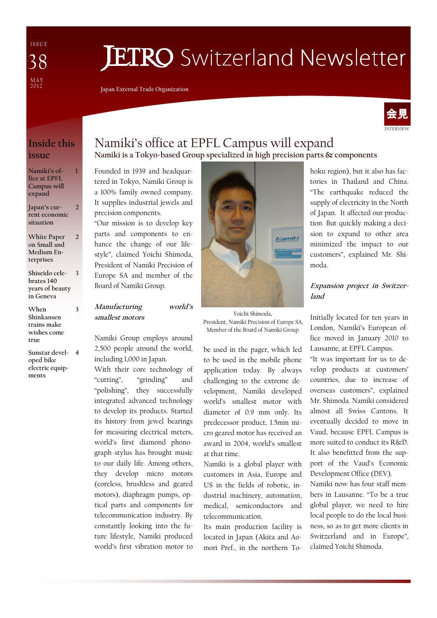I S S U E MAY<br>2012 38

# **JETRO** Switzerland Newsletter

Japan External Trade Organization



### Inside this issue

1

3

#### Namiki's office at EPFL Campus will expand

Japan's current economic situation  $\overline{\phantom{a}}$ 

- White Paper on Small and Medium Enterprises  $\overline{2}$
- Shiseido celebrates 140 years of beauty in Geneva 3
- When Shinkansen trains make wishes come true
- Sunstar devel-4 oped bike electric equipments

### Namiki's office at EPFL Campus will expand Namiki is a Tokyo-based Group specialized in high precision parts & components

Founded in 1939 and headquartered in Tokyo, Namiki Group is a 100% family owned company. It supplies industrial jewels and precision components.

"Our mission is to develop key parts and components to enhance the change of our lifestyle", claimed Yoichi Shimoda, President of Namiki Precision of Europe SA and member of the Board of Namiki Group.

#### Manufacturing world's smallest motors

Namiki Group employs around 2,500 people around the world, including 1,000 in Japan.

With their core technology of "cutting", "grinding" and "polishing", they successfully integrated advanced technology to develop its products. Started its history from jewel bearings for measuring electrical meters, world's first diamond phonograph stylus has brought music to our daily life. Among others, they develop micro motors (coreless, brushless and geared motors), diaphragm pumps, optical parts and components for telecommunication industry. By constantly looking into the future lifestyle, Namiki produced world's first vibration motor to



Yoichi Shimoda, President, Namiki Precision of Europe SA, Member of the Board of Namiki Group

be used in the pager, which led to be used in the mobile phone application today. By always challenging to the extreme development, Namiki developed world's smallest motor with diameter of 0.9 mm only. Its predecessor product, 1.5mm micro geared motor has received an award in 2004, world's smallest at that time.

Namiki is a global player with customers in Asia, Europe and US in the fields of robotic, industrial machinery, automation, medical, semiconductors and telecommunication.

Its main production facility is located in Japan (Akita and Aomori Pref., in the northern Tohoku region), but it also has factories in Thailand and China. "The earthquake reduced the supply of electricity in the North of Japan. It affected our production. But quickly making a decision to expand to other area minimized the impact to our customers", explained Mr. Shimoda.

#### Expansion project in Switzerland

Initially located for ten years in London, Namiki's European office moved in January 2010 to Lausanne, at EPFL Campus.

"It was important for us to develop products at customers' countries, due to increase of overseas customers", explained Mr. Shimoda. Namiki considered almost all Swiss Cantons. It eventually decided to move in Vaud, because EPFL Campus is more suited to conduct its R&D. It also benefitted from the support of the Vaud's Economic Development Office (DEV).

Namiki now has four staff members in Lausanne. "To be a true global player, we need to hire local people to do the local business, so as to get more clients in Switzerland and in Europe", claimed Yoichi Shimoda.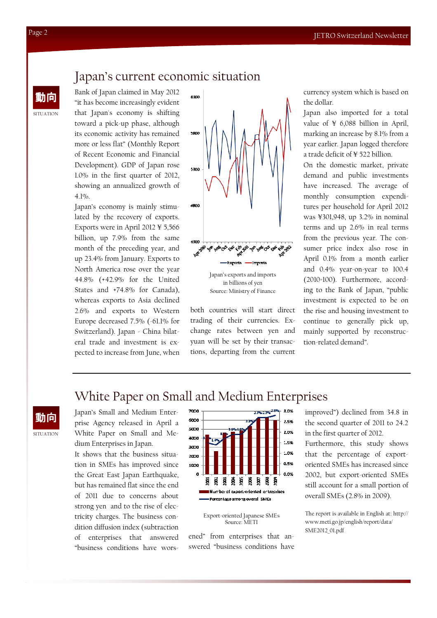# Japan's current economic situation

 $\frac{1}{\mathbf{E}}$  Example of Equal Equal claimed in May 2012  $\frac{1}{6300}$  currency system which is based on Bank of Japan claimed in May 2012 "it has become increasingly evident that Japan's economy is shifting toward a pick-up phase, although its economic activity has remained more or less flat" (Monthly Report of Recent Economic and Financial Development). GDP of Japan rose 1.0% in the first quarter of 2012, showing an annualized growth of 4.1%.

Japan's economy is mainly stimulated by the recovery of exports. Exports were in April 2012 ¥ 5,566 billion, up 7.9% from the same month of the preceding year, and up 23.4% from January. Exports to North America rose over the year 44.8% (+42.9% for the United States and +74.8% for Canada), whereas exports to Asia declined 2.6% and exports to Western Europe decreased 7.5% (-61.1% for Switzerland). Japan - China bilateral trade and investment is expected to increase from June, when



in billions of yen Source: Ministry of Finance

both countries will start direct trading of their currencies. Exchange rates between yen and yuan will be set by their transactions, departing from the current the dollar.

Japan also imported for a total value of ¥ 6,088 billion in April, marking an increase by 8.1% from a year earlier. Japan logged therefore a trade deficit of ¥ 522 billion.

On the domestic market, private demand and public investments have increased. The average of monthly consumption expenditures per household for April 2012 was ¥301,948, up 3.2% in nominal terms and up 2.6% in real terms from the previous year. The consumer price index also rose in April 0.1% from a month earlier and 0.4% year-on-year to 100.4 (2010=100). Furthermore, according to the Bank of Japan, "public investment is expected to be on the rise and housing investment to continue to generally pick up, mainly supported by reconstruction-related demand".

# White Paper on Small and Medium Enterprises

**SITUATION** 動向

Japan's Small and Medium Enterprise Agency released in April a White Paper on Small and Medium Enterprises in Japan.

It shows that the business situation in SMEs has improved since the Great East Japan Earthquake, but has remained flat since the end of 2011 due to concerns about strong yen and to the rise of electricity charges. The business condition diffusion index (subtraction of enterprises that answered "business conditions have wors-



Export-oriented Japanese SMEs Source: METI

ened" from enterprises that answered "business conditions have

improved") declined from 34.8 in the second quarter of 2011 to 24.2 in the first quarter of 2012.

Furthermore, this study shows that the percentage of exportoriented SMEs has increased since 2002, but export-oriented SMEs still account for a small portion of overall SMEs (2.8% in 2009).

The report is available in English at: http:// www.meti.go.jp/english/report/data/ SME2012\_01.pdf

**SITUATION**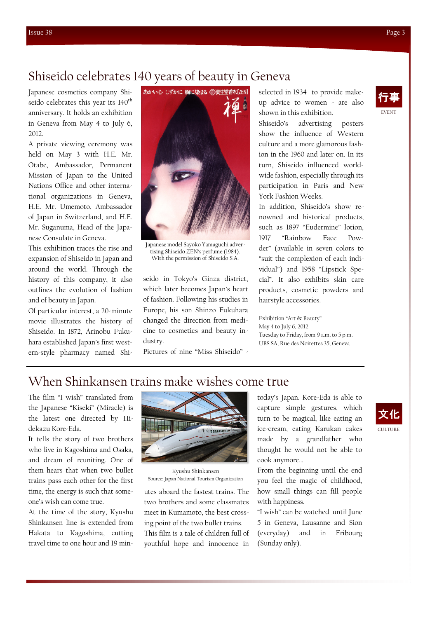## Shiseido celebrates 140 years of beauty in Geneva

Japanese cosmetics company Shiseido celebrates this year its 140<sup>th</sup> anniversary. It holds an exhibition in Geneva from May 4 to July 6, 2012.

A private viewing ceremony was held on May 3 with H.E. Mr. Otabe, Ambassador, Permanent Mission of Japan to the United Nations Office and other international organizations in Geneva, H.E. Mr. Umemoto, Ambassador of Japan in Switzerland, and H.E. Mr. Suganuma, Head of the Japanese Consulate in Geneva.

This exhibition traces the rise and expansion of Shiseido in Japan and around the world. Through the history of this company, it also outlines the evolution of fashion and of beauty in Japan.

Of particular interest, a 20-minute movie illustrates the history of Shiseido. In 1872, Arinobu Fukuhara established Japan's first western-style pharmacy named Shi-



Japanese model Sayoko Yamaguchi advertising Shiseido ZEN's perfume (1984). With the permission of Shiseido S.A.

seido in Tokyo's Ginza district, which later becomes Japan's heart of fashion. Following his studies in Europe, his son Shinzo Fukuhara changed the direction from medicine to cosmetics and beauty industry.

Pictures of nine "Miss Shiseido" -

selected in 1934 to provide makeup advice to women - are also shown in this exhibition.

Shiseido's advertising posters show the influence of Western culture and a more glamorous fashion in the 1960 and later on. In its turn, Shiseido influenced worldwide fashion, especially through its participation in Paris and New York Fashion Weeks.

In addition, Shiseido's show renowned and historical products, such as 1897 "Eudermine" lotion, 1917 "Rainbow Face Powder" (available in seven colors to "suit the complexion of each individual") and 1958 "Lipstick Special". It also exhibits skin care products, cosmetic powders and hairstyle accessories.

Exhibition "Art & Beauty" May 4 to July 6, 2012 Tuesday to Friday, from 9 a.m. to 5 p.m. UBS SA, Rue des Noirettes 35, Geneva

### When Shinkansen trains make wishes come true

The film "I wish" translated from the Japanese "Kiseki" (Miracle) is the latest one directed by Hidekazu Kore-Eda.

It tells the story of two brothers who live in Kagoshima and Osaka, and dream of reuniting. One of them hears that when two bullet trains pass each other for the first time, the energy is such that someone's wish can come true.

At the time of the story, Kyushu Shinkansen line is extended from Hakata to Kagoshima, cutting travel time to one hour and 19 min-



Kyushu Shinkansen Source: Japan National Tourism Organization

utes aboard the fastest trains. The two brothers and some classmates meet in Kumamoto, the best crossing point of the two bullet trains. This film is a tale of children full of youthful hope and innocence in

today's Japan. Kore-Eda is able to capture simple gestures, which turn to be magical, like eating an ice-cream, eating Karukan cakes made by a grandfather who thought he would not be able to cook anymore…

From the beginning until the end you feel the magic of childhood, how small things can fill people with happiness.

"I wish" can be watched until June 5 in Geneva, Lausanne and Sion (everyday) and in Fribourg (Sunday only).



EVENT